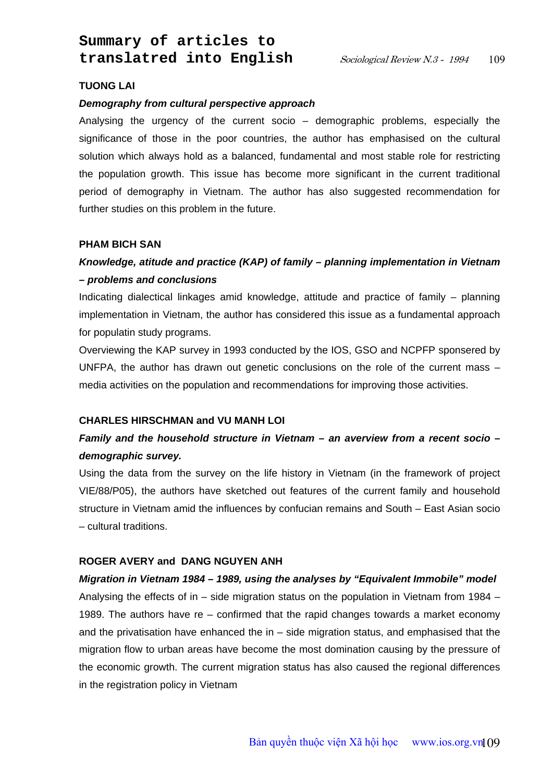## **TUONG LAI**

### *Demography from cultural perspective approach*

Analysing the urgency of the current socio – demographic problems, especially the significance of those in the poor countries, the author has emphasised on the cultural solution which always hold as a balanced, fundamental and most stable role for restricting the population growth. This issue has become more significant in the current traditional period of demography in Vietnam. The author has also suggested recommendation for further studies on this problem in the future.

### **PHAM BICH SAN**

# *Knowledge, atitude and practice (KAP) of family – planning implementation in Vietnam – problems and conclusions*

Indicating dialectical linkages amid knowledge, attitude and practice of family – planning implementation in Vietnam, the author has considered this issue as a fundamental approach for populatin study programs.

Overviewing the KAP survey in 1993 conducted by the IOS, GSO and NCPFP sponsered by UNFPA, the author has drawn out genetic conclusions on the role of the current mass – media activities on the population and recommendations for improving those activities.

## **CHARLES HIRSCHMAN and VU MANH LOI**

# *Family and the household structure in Vietnam – an averview from a recent socio – demographic survey.*

Using the data from the survey on the life history in Vietnam (in the framework of project VIE/88/P05), the authors have sketched out features of the current family and household structure in Vietnam amid the influences by confucian remains and South – East Asian socio – cultural traditions.

#### **ROGER AVERY and DANG NGUYEN ANH**

#### *Migration in Vietnam 1984 – 1989, using the analyses by "Equivalent Immobile" model*

Analysing the effects of in – side migration status on the population in Vietnam from 1984 – 1989. The authors have re – confirmed that the rapid changes towards a market economy and the privatisation have enhanced the in – side migration status, and emphasised that the migration flow to urban areas have become the most domination causing by the pressure of the economic growth. The current migration status has also caused the regional differences in the registration policy in Vietnam